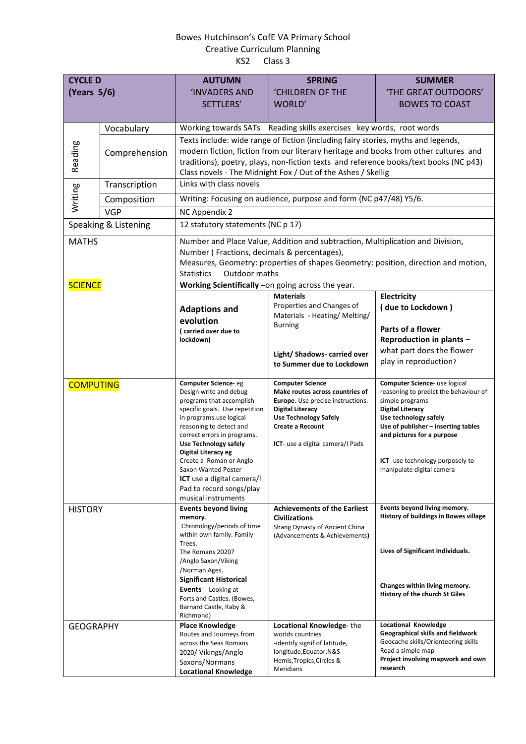## Bowes Hutchinson's CofE VA Primary School Creative Curriculum Planning KS2 Class 3

| <b>CYCLE D</b><br>(Years 5/6)      |               | <b>AUTUMN</b><br><b>INVADERS AND</b>                                                                                                                                                                                                                                                                                                                                                                                                               | <b>SPRING</b><br>'CHILDREN OF THE                                                                                                                                                                                                                                                        | <b>SUMMER</b><br>'THE GREAT OUTDOORS'                                                                                                                                                                                                                                                                                                                                |  |
|------------------------------------|---------------|----------------------------------------------------------------------------------------------------------------------------------------------------------------------------------------------------------------------------------------------------------------------------------------------------------------------------------------------------------------------------------------------------------------------------------------------------|------------------------------------------------------------------------------------------------------------------------------------------------------------------------------------------------------------------------------------------------------------------------------------------|----------------------------------------------------------------------------------------------------------------------------------------------------------------------------------------------------------------------------------------------------------------------------------------------------------------------------------------------------------------------|--|
|                                    |               | SETTLERS'                                                                                                                                                                                                                                                                                                                                                                                                                                          | WORLD'                                                                                                                                                                                                                                                                                   | <b>BOWES TO COAST</b>                                                                                                                                                                                                                                                                                                                                                |  |
|                                    | Vocabulary    |                                                                                                                                                                                                                                                                                                                                                                                                                                                    | Working towards SATs Reading skills exercises key words, root words                                                                                                                                                                                                                      |                                                                                                                                                                                                                                                                                                                                                                      |  |
| Reading                            | Comprehension | Texts include: wide range of fiction (including fairy stories, myths and legends,<br>modern fiction, fiction from our literary heritage and books from other cultures and<br>traditions), poetry, plays, non-fiction texts and reference books/text books (NC p43)<br>Class novels - The Midnight Fox / Out of the Ashes / Skellig                                                                                                                 |                                                                                                                                                                                                                                                                                          |                                                                                                                                                                                                                                                                                                                                                                      |  |
| Writing                            | Transcription | Links with class novels                                                                                                                                                                                                                                                                                                                                                                                                                            |                                                                                                                                                                                                                                                                                          |                                                                                                                                                                                                                                                                                                                                                                      |  |
|                                    | Composition   | Writing: Focusing on audience, purpose and form (NC p47/48) Y5/6.                                                                                                                                                                                                                                                                                                                                                                                  |                                                                                                                                                                                                                                                                                          |                                                                                                                                                                                                                                                                                                                                                                      |  |
|                                    | <b>VGP</b>    | NC Appendix 2                                                                                                                                                                                                                                                                                                                                                                                                                                      |                                                                                                                                                                                                                                                                                          |                                                                                                                                                                                                                                                                                                                                                                      |  |
| Speaking & Listening               |               | 12 statutory statements (NC p 17)                                                                                                                                                                                                                                                                                                                                                                                                                  |                                                                                                                                                                                                                                                                                          |                                                                                                                                                                                                                                                                                                                                                                      |  |
| <b>MATHS</b>                       |               | Number and Place Value, Addition and subtraction, Multiplication and Division,<br>Number (Fractions, decimals & percentages),<br>Measures, Geometry: properties of shapes Geometry: position, direction and motion,<br>Outdoor maths<br><b>Statistics</b>                                                                                                                                                                                          |                                                                                                                                                                                                                                                                                          |                                                                                                                                                                                                                                                                                                                                                                      |  |
| <b>SCIENCE</b>                     |               | Working Scientifically - on going across the year.                                                                                                                                                                                                                                                                                                                                                                                                 |                                                                                                                                                                                                                                                                                          |                                                                                                                                                                                                                                                                                                                                                                      |  |
|                                    |               | <b>Adaptions and</b><br>evolution<br>(carried over due to<br>lockdown)                                                                                                                                                                                                                                                                                                                                                                             | <b>Materials</b><br>Properties and Changes of<br>Materials - Heating/ Melting/<br><b>Burning</b><br>Light/ Shadows- carried over<br>to Summer due to Lockdown                                                                                                                            | Electricity<br>(due to Lockdown)<br>Parts of a flower<br>Reproduction in plants -<br>what part does the flower<br>play in reproduction?                                                                                                                                                                                                                              |  |
| <b>COMPUTING</b><br><b>HISTORY</b> |               | <b>Computer Science-eg</b><br>Design write and debug<br>programs that accomplish<br>specific goals. Use repetition<br>in programs.use logical<br>reasoning to detect and<br>correct errors in programs.<br><b>Use Technology safely</b><br>Digital Literacy eg<br>Create a Roman or Anglo<br>Saxon Wanted Poster<br><b>ICT</b> use a digital camera/I<br>Pad to record songs/play<br>musical instruments<br><b>Events beyond living</b><br>memory. | <b>Computer Science</b><br>Make routes across countries of<br>Europe. Use precise instructions.<br><b>Digital Literacy</b><br><b>Use Technology Safely</b><br><b>Create a Recount</b><br>ICT- use a digital camera/I Pads<br><b>Achievements of the Earliest</b><br><b>Civilizations</b> | Computer Science- use logical<br>reasoning to predict the behaviour of<br>simple programs<br><b>Digital Literacy</b><br>Use technology safely<br>Use of publisher - inserting tables<br>and pictures for a purpose<br><b>ICT</b> - use technology purposely to<br>manipulate digital camera<br>Events beyond living memory.<br>History of buildings in Bowes village |  |
| <b>GEOGRAPHY</b>                   |               | Chronology/periods of time<br>within own family. Family<br>Trees.<br>The Romans 2020?<br>/Anglo Saxon/Viking<br>/Norman Ages.<br><b>Significant Historical</b><br><b>Events</b> Looking at<br>Forts and Castles. (Bowes,<br>Barnard Castle, Raby &<br>Richmond)<br><b>Place Knowledge</b>                                                                                                                                                          | Shang Dynasty of Ancient China<br>(Advancements & Achievements)<br>Locational Knowledge-the                                                                                                                                                                                              | Lives of Significant Individuals.<br>Changes within living memory.<br>History of the church St Giles<br><b>Locational Knowledge</b>                                                                                                                                                                                                                                  |  |
|                                    |               | Routes and Journeys from<br>across the Seas Romans<br>2020/ Vikings/Anglo<br>Saxons/Normans<br><b>Locational Knowledge</b>                                                                                                                                                                                                                                                                                                                         | worlds countries<br>-identify signif of latitude,<br>longitude, Equator, N&S<br>Hemis, Tropics, Circles &<br>Meridians                                                                                                                                                                   | Geographical skills and fieldwork<br>Geocache skills/Orienteering skills<br>Read a simple map<br>Project involving mapwork and own<br>research                                                                                                                                                                                                                       |  |